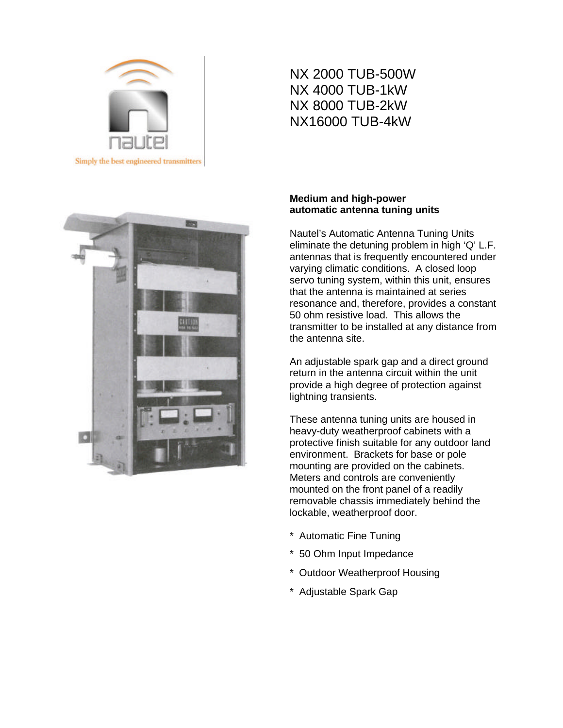

NX 2000 TUB-500W NX 4000 TUB-1kW NX 8000 TUB-2kW NX16000 TUB-4kW



# **Medium and high-power automatic antenna tuning units**

Nautel's Automatic Antenna Tuning Units eliminate the detuning problem in high 'Q' L.F. antennas that is frequently encountered under varying climatic conditions. A closed loop servo tuning system, within this unit, ensures that the antenna is maintained at series resonance and, therefore, provides a constant 50 ohm resistive load. This allows the transmitter to be installed at any distance from the antenna site.

An adjustable spark gap and a direct ground return in the antenna circuit within the unit provide a high degree of protection against lightning transients.

These antenna tuning units are housed in heavy-duty weatherproof cabinets with a protective finish suitable for any outdoor land environment. Brackets for base or pole mounting are provided on the cabinets. Meters and controls are conveniently mounted on the front panel of a readily removable chassis immediately behind the lockable, weatherproof door.

- \* Automatic Fine Tuning
- \* 50 Ohm Input Impedance
- \* Outdoor Weatherproof Housing
- \* Adjustable Spark Gap